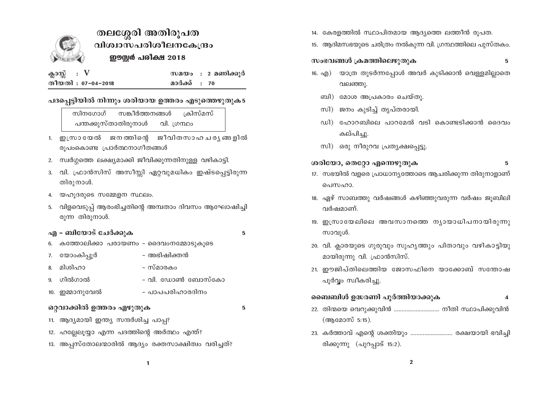

# തലശ്ശേരി അതിരൂപത വിശ്വാസപരിശീലനകേന്ദ്രം ഈസ്റ്റർ പരീക്ഷ 2018

| ക്ലാസ്സ് : V |                    |              | സമയം : 2 മണിക്കുർ |
|--------------|--------------------|--------------|-------------------|
|              | തീയതി : 07-04-2018 | മാർക്ക് : 70 |                   |

### പദപ്പെട്ടിയിൽ നിന്നും ശരിയായ ഉത്തരം എടുത്തെഴുതുക5

ക്രിസ്മസ് സങ്കീർത്തനങ്ങൾ സിനഗോഗ് പന്തക്കുസ്താതിരുനാൾ വി. ഗ്രന്ഥം

- 1. ഇസ്രായേൽ ജനത്തിന്റെ ജീവിതസാഹചര്യങ്ങളിൽ രൂപംകൊണ്ട പ്രാർത്ഥനാഗീതങ്ങൾ
- 2. സ്വർഗ്ഗത്തെ ലക്ഷ്യമാക്കി ജീവിക്കുന്നതിനുള്ള വഴികാട്ടി.
- 3. വി. ഫ്രാൻസിസ് അസീസ്റ്റി ഏറ്റവുമധികം ഇഷ്ടപ്പെട്ടിരുന്ന തിരുനാൾ.
- യഹുദരുടെ സമ്മേളന സ്ഥലം. 4.
- വിളവെടുപ്പ് ആരംഭിച്ചതിന്റെ അമ്പതാം ദിവസം ആഘോഷിച്ചി 5. രുന്ന തിരുനാൾ.

### എ - ബിയോട് ചേർക്കുക

5

5

- കത്തോലിക്കാ പരായണം ദൈവംനമ്മോടുകൂടെ 6. 7. യോംകിപ്പൂർ - അഭിഷിക്തൻ മിശിഹാ – സ്മാരകം 8.
- വി. ഡോൺ ബോസ്കോ ഗിൽഗാൽ 9.
- 10. ഇമ്മാനുവേൽ - പാപപരിഹാരദിനം

## ഒറ്റവാക്കിൽ ഉത്തരം എഴുതുക

- 11. ആദ്യമായി ഇന്ത്യ സന്ദർശിച്ച പാപ്പ?
- 12. ഹല്ലേലൂയ്യാ എന്ന പദത്തിന്റെ അർത്ഥം എന്ത്?
- 13. അപ്പസ്തോലന്മാരിൽ ആദ്യം രക്തസാക്ഷിത്വം വരിച്ചത്?
- 14. കേരളത്തിൽ സ്ഥാപിതമായ ആദ്യത്തെ ലത്തീൻ രൂപത.
- 15. ആദിമസഭയുടെ ചരിത്രം നൽകുന്ന വി. ഗ്രന്ഥത്തിലെ പുസ്തകം.

#### സംഭവങ്ങൾ ക്രമത്തിലെഴുതുക 5

- 16. എ) യാത്ര തുടർന്നപ്പോൾ അവർ കുടിക്കാൻ വെള്ളമില്ലാതെ വലഞ്ഞു.
	- ബി) മോശ അപ്രകാരം ചെയ്തു.
	- സി) ജനം കുടിച്ച് തൃപ്തരായി.
	- ഡി) ഹോറബിലെ പാറമേൽ വടി കൊണ്ടടിക്കാൻ ദൈവം കല്പിച്ചു.
	- സി) ഒരു നീരുറവ പ്രത്യക്ഷപ്പെട്ടു.

ശരിയോ, തെറ്റോ എന്നെഴുതുക

### 5

- 17. സഭയിൽ വളരെ പ്രാധാന്യത്തോടെ ആചരിക്കുന്ന തിരുനാളാണ് പെസഹാ.
- 18. ഏഴ് സാബത്തു വർഷങ്ങൾ കഴിഞ്ഞുവരുന്ന വർഷം ജുബിലി വർഷമാണ്
- 19. ഇസ്രായേലിലെ അവസാനത്തെ ന്യായാധിപനായിരുന്നു സാവുൾ.
- 20. വി. ക്ലാരയുടെ ഗുരുവും സുഹൃത്തും പിതാവും വഴികാട്ടിയു മായിരുന്നു വി. ഫ്രാൻസിസ്.
- 21. ഈജിപ്തിലെത്തിയ ജോസഫിനെ യാക്കോബ് സന്തോഷ പൂർവ്വം സ്വീകരിച്ചു.

#### ബൈബിൾ ഉദ്ധരണി പൂർത്തിയാക്കുക  $\boldsymbol{\Lambda}$

- 22. തിന്മയെ വെറുക്കുവിൻ ............................... നീതി സ്ഥാപിക്കുവിൻ (ആമോസ് 5:15).
- 23. കർത്താവ് എന്റെ ശക്തിയും ............................ രക്ഷയായി ഭവിച്ചി രിക്കുന്നു (പുറപ്പാട് 15:2).